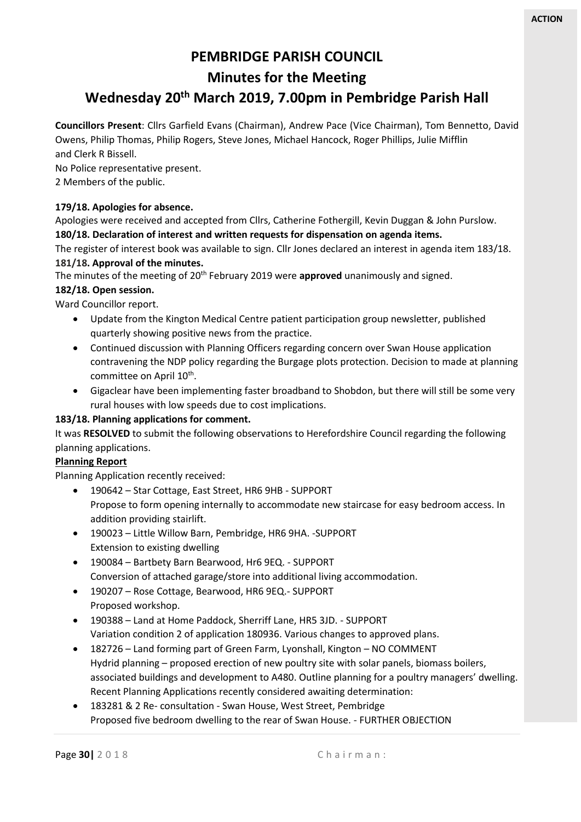# **PEMBRIDGE PARISH COUNCIL**

**Minutes for the Meeting**

# **Wednesday 20th March 2019, 7.00pm in Pembridge Parish Hall**

**Councillors Present**: Cllrs Garfield Evans (Chairman), Andrew Pace (Vice Chairman), Tom Bennetto, David Owens, Philip Thomas, Philip Rogers, Steve Jones, Michael Hancock, Roger Phillips, Julie Mifflin and Clerk R Bissell.

No Police representative present.

2 Members of the public.

## **179/18. Apologies for absence.**

Apologies were received and accepted from Cllrs, Catherine Fothergill, Kevin Duggan & John Purslow. **180/18. Declaration of interest and written requests for dispensation on agenda items.**

The register of interest book was available to sign. Cllr Jones declared an interest in agenda item 183/18. **181/18. Approval of the minutes.**

The minutes of the meeting of 20th February 2019 were **approved** unanimously and signed.

## **182/18. Open session.**

Ward Councillor report.

- Update from the Kington Medical Centre patient participation group newsletter, published quarterly showing positive news from the practice.
- Continued discussion with Planning Officers regarding concern over Swan House application contravening the NDP policy regarding the Burgage plots protection. Decision to made at planning committee on April 10<sup>th</sup>.
- Gigaclear have been implementing faster broadband to Shobdon, but there will still be some very rural houses with low speeds due to cost implications.

## **183/18. Planning applications for comment.**

It was **RESOLVED** to submit the following observations to Herefordshire Council regarding the following planning applications.

### **Planning Report**

Planning Application recently received:

- 190642 Star Cottage, East Street, HR6 9HB SUPPORT Propose to form opening internally to accommodate new staircase for easy bedroom access. In addition providing stairlift.
- 190023 Little Willow Barn, Pembridge, HR6 9HA. -SUPPORT Extension to existing dwelling
- 190084 Bartbety Barn Bearwood, Hr6 9EQ. SUPPORT Conversion of attached garage/store into additional living accommodation.
- 190207 Rose Cottage, Bearwood, HR6 9EQ.- SUPPORT Proposed workshop.
- 190388 Land at Home Paddock, Sherriff Lane, HR5 3JD. SUPPORT Variation condition 2 of application 180936. Various changes to approved plans.
- 182726 Land forming part of Green Farm, Lyonshall, Kington NO COMMENT Hydrid planning – proposed erection of new poultry site with solar panels, biomass boilers, associated buildings and development to A480. Outline planning for a poultry managers' dwelling. Recent Planning Applications recently considered awaiting determination:
- 183281 & 2 Re- consultation Swan House, West Street, Pembridge Proposed five bedroom dwelling to the rear of Swan House. - FURTHER OBJECTION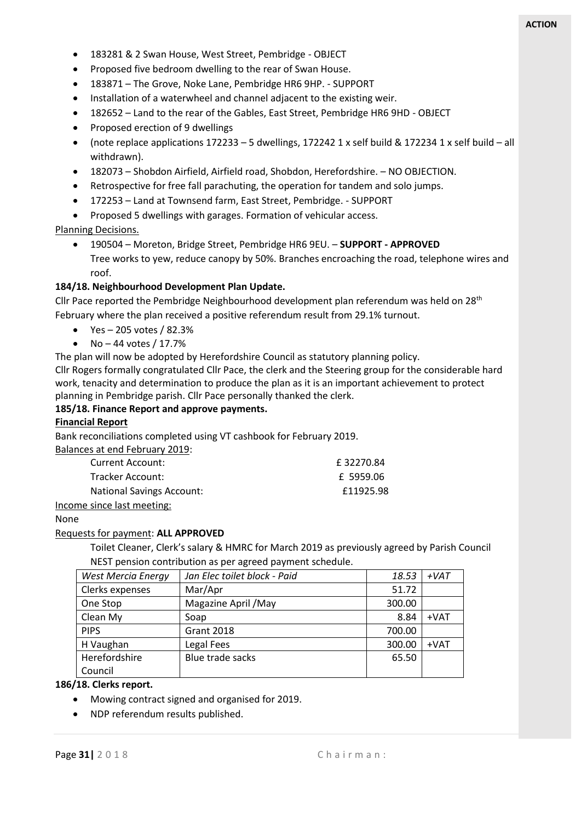- 183281 & 2 Swan House, West Street, Pembridge OBJECT
- Proposed five bedroom dwelling to the rear of Swan House.
- 183871 The Grove, Noke Lane, Pembridge HR6 9HP. SUPPORT
- Installation of a waterwheel and channel adjacent to the existing weir.
- 182652 Land to the rear of the Gables, East Street, Pembridge HR6 9HD OBJECT
- Proposed erection of 9 dwellings
- (note replace applications 172233 5 dwellings, 172242 1 x self build & 172234 1 x self build all withdrawn).
- 182073 Shobdon Airfield, Airfield road, Shobdon, Herefordshire. NO OBJECTION.
- Retrospective for free fall parachuting, the operation for tandem and solo jumps.
- 172253 Land at Townsend farm, East Street, Pembridge. SUPPORT
- Proposed 5 dwellings with garages. Formation of vehicular access.

## Planning Decisions.

• 190504 – Moreton, Bridge Street, Pembridge HR6 9EU. – **SUPPORT - APPROVED** Tree works to yew, reduce canopy by 50%. Branches encroaching the road, telephone wires and roof.

## **184/18. Neighbourhood Development Plan Update.**

Cllr Pace reported the Pembridge Neighbourhood development plan referendum was held on  $28<sup>th</sup>$ February where the plan received a positive referendum result from 29.1% turnout.

- Yes 205 votes / 82.3%
- No 44 votes  $/$  17.7%
- The plan will now be adopted by Herefordshire Council as statutory planning policy.

Cllr Rogers formally congratulated Cllr Pace, the clerk and the Steering group for the considerable hard work, tenacity and determination to produce the plan as it is an important achievement to protect planning in Pembridge parish. Cllr Pace personally thanked the clerk.

## **185/18. Finance Report and approve payments.**

### **Financial Report**

Bank reconciliations completed using VT cashbook for February 2019.

Balances at end February 2019:

| Current Account:                 | £32270.84 |
|----------------------------------|-----------|
| Tracker Account:                 | £ 5959.06 |
| <b>National Savings Account:</b> | £11925.98 |
| Income since last meeting:       |           |

### None

### Requests for payment: **ALL APPROVED**

Toilet Cleaner, Clerk's salary & HMRC for March 2019 as previously agreed by Parish Council NEST pension contribution as per agreed payment schedule.

| <b>West Mercia Energy</b> | Jan Elec toilet block - Paid | 18.53  | $+VAT$ |
|---------------------------|------------------------------|--------|--------|
| Clerks expenses           | Mar/Apr                      | 51.72  |        |
| One Stop                  | Magazine April / May         | 300.00 |        |
| Clean My                  | Soap                         | 8.84   | +VAT   |
| <b>PIPS</b>               | <b>Grant 2018</b>            | 700.00 |        |
| H Vaughan                 | Legal Fees                   | 300.00 | +VAT   |
| Herefordshire             | <b>Blue trade sacks</b>      | 65.50  |        |
| Council                   |                              |        |        |

### **186/18. Clerks report.**

- Mowing contract signed and organised for 2019.
- NDP referendum results published.